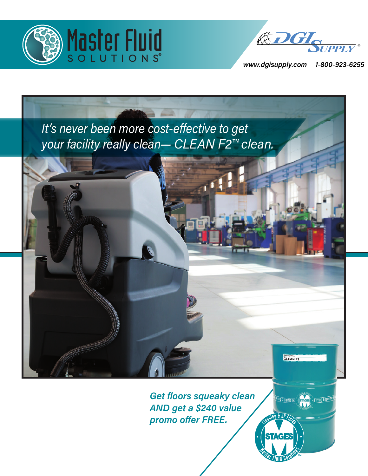



*www.dgisupply.com 1-800-923-6255*

) : cutting Edge Meta

THING SOLUTIONS (STAGES

 $f R$ 

**STAGES** 



*Get floors squeaky clean AND get a \$240 value promo offer FREE.*